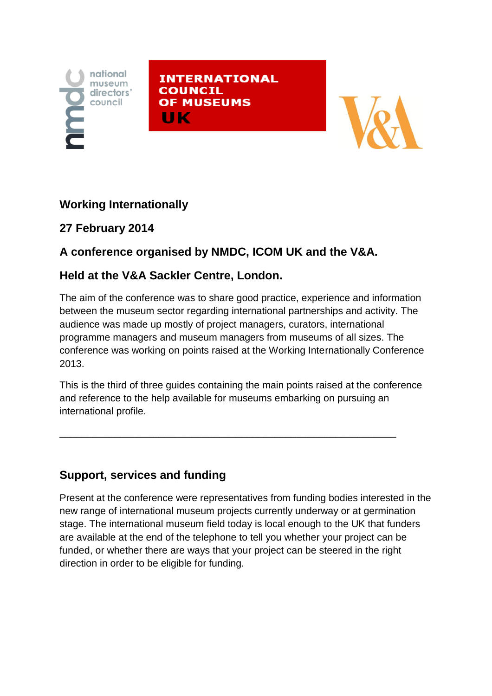

**INTERNATIONAL COUNCIL OF MUSEUMS** ШΚ



## **Working Internationally**

#### **27 February 2014**

# **A conference organised by NMDC, ICOM UK and the V&A.**

### **Held at the V&A Sackler Centre, London.**

The aim of the conference was to share good practice, experience and information between the museum sector regarding international partnerships and activity. The audience was made up mostly of project managers, curators, international programme managers and museum managers from museums of all sizes. The conference was working on points raised at the Working Internationally Conference 2013.

This is the third of three guides containing the main points raised at the conference and reference to the help available for museums embarking on pursuing an international profile.

\_\_\_\_\_\_\_\_\_\_\_\_\_\_\_\_\_\_\_\_\_\_\_\_\_\_\_\_\_\_\_\_\_\_\_\_\_\_\_\_\_\_\_\_\_\_\_\_\_\_\_\_\_\_\_\_\_\_\_\_\_

## **Support, services and funding**

Present at the conference were representatives from funding bodies interested in the new range of international museum projects currently underway or at germination stage. The international museum field today is local enough to the UK that funders are available at the end of the telephone to tell you whether your project can be funded, or whether there are ways that your project can be steered in the right direction in order to be eligible for funding.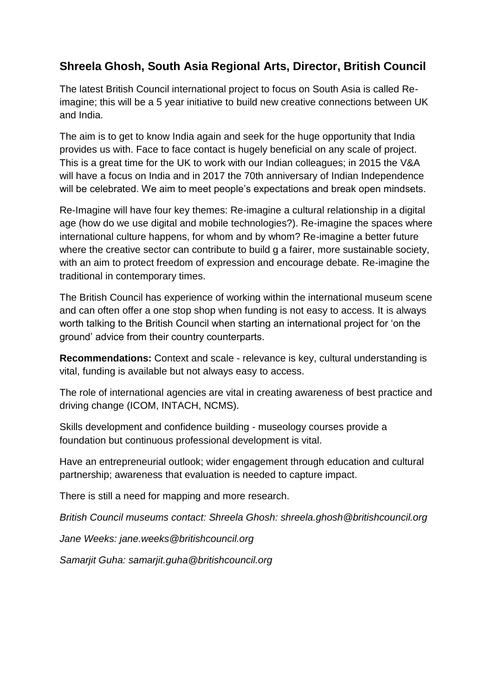#### **Shreela Ghosh, South Asia Regional Arts, Director, British Council**

The latest British Council international project to focus on South Asia is called Reimagine; this will be a 5 year initiative to build new creative connections between UK and India.

The aim is to get to know India again and seek for the huge opportunity that India provides us with. Face to face contact is hugely beneficial on any scale of project. This is a great time for the UK to work with our Indian colleagues; in 2015 the V&A will have a focus on India and in 2017 the 70th anniversary of Indian Independence will be celebrated. We aim to meet people's expectations and break open mindsets.

Re-Imagine will have four key themes: Re-imagine a cultural relationship in a digital age (how do we use digital and mobile technologies?). Re-imagine the spaces where international culture happens, for whom and by whom? Re-imagine a better future where the creative sector can contribute to build g a fairer, more sustainable society, with an aim to protect freedom of expression and encourage debate. Re-imagine the traditional in contemporary times.

The British Council has experience of working within the international museum scene and can often offer a one stop shop when funding is not easy to access. It is always worth talking to the British Council when starting an international project for 'on the ground' advice from their country counterparts.

**Recommendations:** Context and scale - relevance is key, cultural understanding is vital, funding is available but not always easy to access.

The role of international agencies are vital in creating awareness of best practice and driving change (ICOM, INTACH, NCMS).

Skills development and confidence building - museology courses provide a foundation but continuous professional development is vital.

Have an entrepreneurial outlook; wider engagement through education and cultural partnership; awareness that evaluation is needed to capture impact.

There is still a need for mapping and more research.

*British Council museums contact: Shreela Ghosh: shreela.ghosh@britishcouncil.org*

*Jane Weeks: jane.weeks@britishcouncil.org*

*Samarjit Guha: samarjit.guha@britishcouncil.org*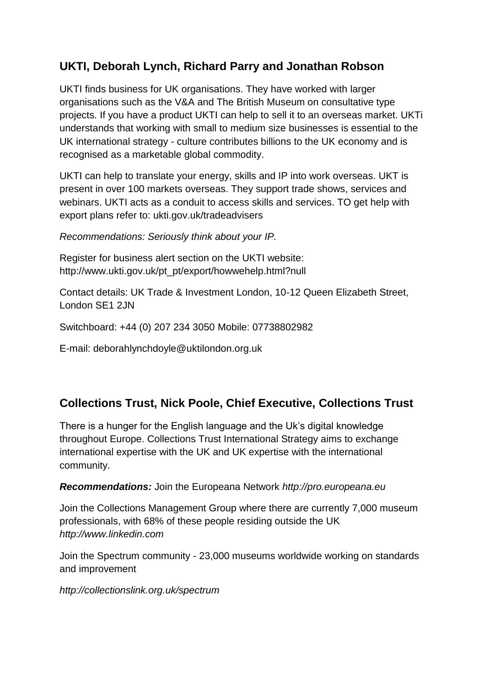#### **UKTI, Deborah Lynch, Richard Parry and Jonathan Robson**

UKTI finds business for UK organisations. They have worked with larger organisations such as the V&A and The British Museum on consultative type projects. If you have a product UKTI can help to sell it to an overseas market. UKTi understands that working with small to medium size businesses is essential to the UK international strategy - culture contributes billions to the UK economy and is recognised as a marketable global commodity.

UKTI can help to translate your energy, skills and IP into work overseas. UKT is present in over 100 markets overseas. They support trade shows, services and webinars. UKTI acts as a conduit to access skills and services. TO get help with export plans refer to: ukti.gov.uk/tradeadvisers

*Recommendations: Seriously think about your IP.* 

Register for business alert section on the UKTI website: http://www.ukti.gov.uk/pt\_pt/export/howwehelp.html?null

Contact details: UK Trade & Investment London, 10-12 Queen Elizabeth Street, London SE1 2JN

Switchboard: +44 (0) 207 234 3050 Mobile: 07738802982

E-mail: deborahlynchdoyle@uktilondon.org.uk

## **Collections Trust, Nick Poole, Chief Executive, Collections Trust**

There is a hunger for the English language and the Uk's digital knowledge throughout Europe. Collections Trust International Strategy aims to exchange international expertise with the UK and UK expertise with the international community.

*Recommendations:* Join the Europeana Network *http://pro.europeana.eu*

Join the Collections Management Group where there are currently 7,000 museum professionals, with 68% of these people residing outside the UK *http://www.linkedin.com*

Join the Spectrum community - 23,000 museums worldwide working on standards and improvement

*http://collectionslink.org.uk/spectrum*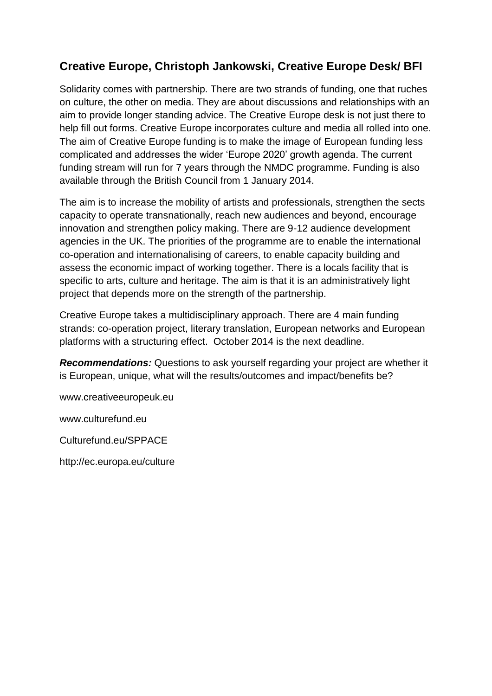#### **Creative Europe, Christoph Jankowski, Creative Europe Desk/ BFI**

Solidarity comes with partnership. There are two strands of funding, one that ruches on culture, the other on media. They are about discussions and relationships with an aim to provide longer standing advice. The Creative Europe desk is not just there to help fill out forms. Creative Europe incorporates culture and media all rolled into one. The aim of Creative Europe funding is to make the image of European funding less complicated and addresses the wider 'Europe 2020' growth agenda. The current funding stream will run for 7 years through the NMDC programme. Funding is also available through the British Council from 1 January 2014.

The aim is to increase the mobility of artists and professionals, strengthen the sects capacity to operate transnationally, reach new audiences and beyond, encourage innovation and strengthen policy making. There are 9-12 audience development agencies in the UK. The priorities of the programme are to enable the international co-operation and internationalising of careers, to enable capacity building and assess the economic impact of working together. There is a locals facility that is specific to arts, culture and heritage. The aim is that it is an administratively light project that depends more on the strength of the partnership.

Creative Europe takes a multidisciplinary approach. There are 4 main funding strands: co-operation project, literary translation, European networks and European platforms with a structuring effect. October 2014 is the next deadline.

*Recommendations:* Questions to ask yourself regarding your project are whether it is European, unique, what will the results/outcomes and impact/benefits be?

www.creativeeuropeuk.eu

www.culturefund.eu

Culturefund.eu/SPPACE

http://ec.europa.eu/culture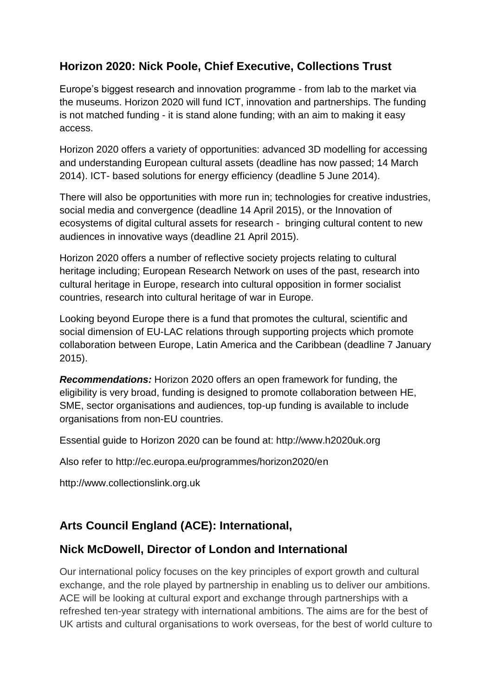#### **Horizon 2020: Nick Poole, Chief Executive, Collections Trust**

Europe's biggest research and innovation programme - from lab to the market via the museums. Horizon 2020 will fund ICT, innovation and partnerships. The funding is not matched funding - it is stand alone funding; with an aim to making it easy access.

Horizon 2020 offers a variety of opportunities: advanced 3D modelling for accessing and understanding European cultural assets (deadline has now passed; 14 March 2014). ICT- based solutions for energy efficiency (deadline 5 June 2014).

There will also be opportunities with more run in; technologies for creative industries, social media and convergence (deadline 14 April 2015), or the Innovation of ecosystems of digital cultural assets for research - bringing cultural content to new audiences in innovative ways (deadline 21 April 2015).

Horizon 2020 offers a number of reflective society projects relating to cultural heritage including; European Research Network on uses of the past, research into cultural heritage in Europe, research into cultural opposition in former socialist countries, research into cultural heritage of war in Europe.

Looking beyond Europe there is a fund that promotes the cultural, scientific and social dimension of EU-LAC relations through supporting projects which promote collaboration between Europe, Latin America and the Caribbean (deadline 7 January 2015).

*Recommendations:* Horizon 2020 offers an open framework for funding, the eligibility is very broad, funding is designed to promote collaboration between HE, SME, sector organisations and audiences, top-up funding is available to include organisations from non-EU countries.

Essential guide to Horizon 2020 can be found at: http://www.h2020uk.org

Also refer to http://ec.europa.eu/programmes/horizon2020/en

http://www.collectionslink.org.uk

#### **Arts Council England (ACE): International,**

#### **Nick McDowell, Director of London and International**

Our international policy focuses on the key principles of export growth and cultural exchange, and the role played by partnership in enabling us to deliver our ambitions. ACE will be looking at cultural export and exchange through partnerships with a refreshed ten-year strategy with international ambitions. The aims are for the best of UK artists and cultural organisations to work overseas, for the best of world culture to